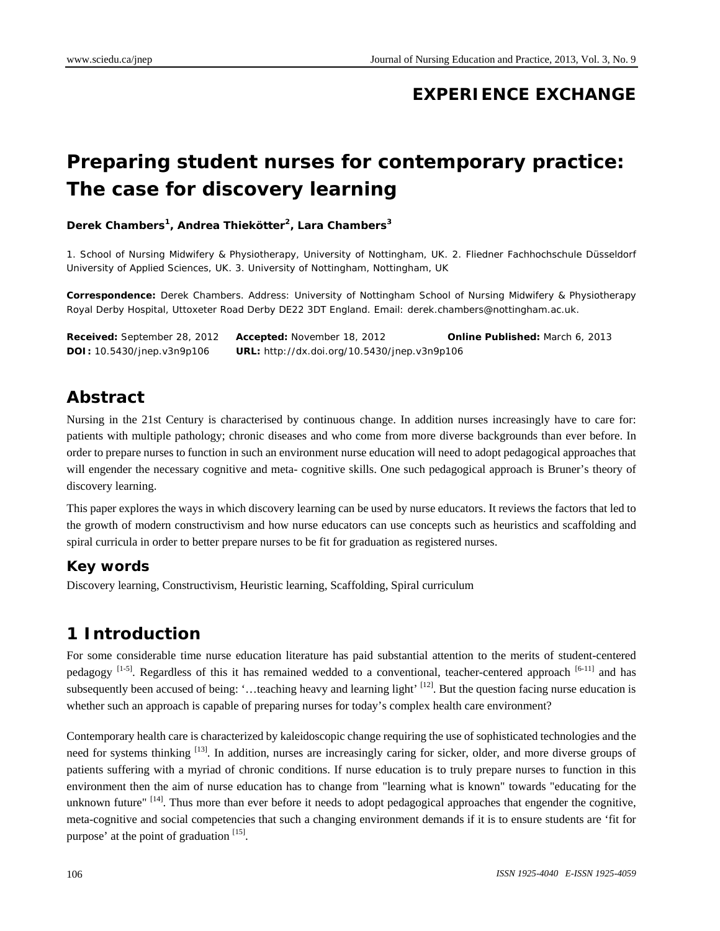### **EXPERIENCE EXCHANGE**

# **Preparing student nurses for contemporary practice: The case for discovery learning**

Derek Chambers<sup>1</sup>, Andrea Thiekötter<sup>2</sup>, Lara Chambers<sup>3</sup>

1. School of Nursing Midwifery & Physiotherapy, University of Nottingham, UK. 2. Fliedner Fachhochschule Düsseldorf University of Applied Sciences, UK. 3. University of Nottingham, Nottingham, UK

**Correspondence:** Derek Chambers. Address: University of Nottingham School of Nursing Midwifery & Physiotherapy Royal Derby Hospital, Uttoxeter Road Derby DE22 3DT England. Email: derek.chambers@nottingham.ac.uk.

**Received:** September 28, 2012 **Accepted:** November 18, 2012 **Online Published:** March 6, 2013 **DOI:** 10.5430/jnep.v3n9p106 **URL:** http://dx.doi.org/10.5430/jnep.v3n9p106

### **Abstract**

Nursing in the 21st Century is characterised by continuous change. In addition nurses increasingly have to care for: patients with multiple pathology; chronic diseases and who come from more diverse backgrounds than ever before. In order to prepare nurses to function in such an environment nurse education will need to adopt pedagogical approaches that will engender the necessary cognitive and meta- cognitive skills. One such pedagogical approach is Bruner's theory of discovery learning.

This paper explores the ways in which discovery learning can be used by nurse educators. It reviews the factors that led to the growth of modern constructivism and how nurse educators can use concepts such as heuristics and scaffolding and spiral curricula in order to better prepare nurses to be fit for graduation as registered nurses.

#### **Key words**

Discovery learning, Constructivism, Heuristic learning, Scaffolding, Spiral curriculum

### **1 Introduction**

For some considerable time nurse education literature has paid substantial attention to the merits of student-centered pedagogy  $[1-5]$ . Regardless of this it has remained wedded to a conventional, teacher-centered approach  $[6-11]$  and has subsequently been accused of being: '...teaching heavy and learning light'  $[12]$ . But the question facing nurse education is whether such an approach is capable of preparing nurses for today's complex health care environment?

Contemporary health care is characterized by kaleidoscopic change requiring the use of sophisticated technologies and the need for systems thinking  $^{[13]}$ . In addition, nurses are increasingly caring for sicker, older, and more diverse groups of patients suffering with a myriad of chronic conditions. If nurse education is to truly prepare nurses to function in this environment then the aim of nurse education has to change from "learning what is known" towards "educating for the unknown future"  $[14]$ . Thus more than ever before it needs to adopt pedagogical approaches that engender the cognitive, meta-cognitive and social competencies that such a changing environment demands if it is to ensure students are 'fit for purpose' at the point of graduation  $[15]$ .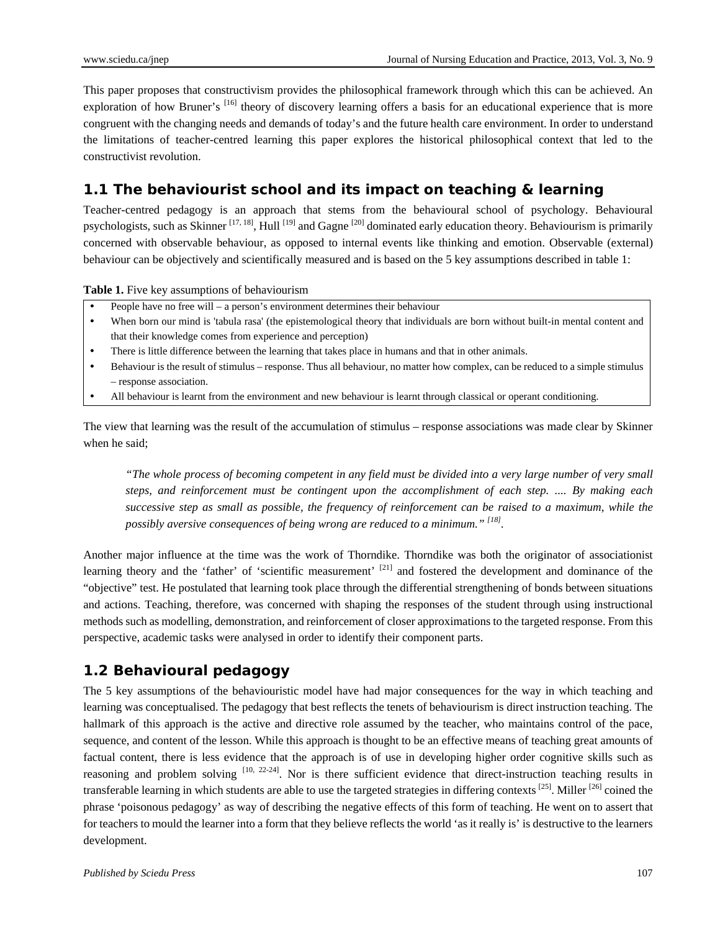This paper proposes that constructivism provides the philosophical framework through which this can be achieved. An exploration of how Bruner's <sup>[16]</sup> theory of discovery learning offers a basis for an educational experience that is more congruent with the changing needs and demands of today's and the future health care environment. In order to understand the limitations of teacher-centred learning this paper explores the historical philosophical context that led to the constructivist revolution.

### **1.1 The behaviourist school and its impact on teaching & learning**

Teacher-centred pedagogy is an approach that stems from the behavioural school of psychology. Behavioural psychologists, such as Skinner  $[17, 18]$ , Hull  $[19]$  and Gagne  $[20]$  dominated early education theory. Behaviourism is primarily concerned with observable behaviour, as opposed to internal events like thinking and emotion. Observable (external) behaviour can be objectively and scientifically measured and is based on the 5 key assumptions described in table 1:

**Table 1.** Five key assumptions of behaviourism

- People have no free will a person's environment determines their behaviour
- When born our mind is 'tabula rasa' (the epistemological theory that individuals are born without built-in mental content and that their knowledge comes from experience and perception)
- There is little difference between the learning that takes place in humans and that in other animals.
- Behaviour is the result of stimulus response. Thus all behaviour, no matter how complex, can be reduced to a simple stimulus – response association.
- All behaviour is learnt from the environment and new behaviour is learnt through classical or operant conditioning.

The view that learning was the result of the accumulation of stimulus – response associations was made clear by Skinner when he said;

*"The whole process of becoming competent in any field must be divided into a very large number of very small steps, and reinforcement must be contingent upon the accomplishment of each step. .... By making each successive step as small as possible, the frequency of reinforcement can be raised to a maximum, while the possibly aversive consequences of being wrong are reduced to a minimum." [18].* 

Another major influence at the time was the work of Thorndike. Thorndike was both the originator of associationist learning theory and the 'father' of 'scientific measurement' <sup>[21]</sup> and fostered the development and dominance of the "objective" test. He postulated that learning took place through the differential strengthening of bonds between situations and actions. Teaching, therefore, was concerned with shaping the responses of the student through using instructional methods such as modelling, demonstration, and reinforcement of closer approximations to the targeted response. From this perspective, academic tasks were analysed in order to identify their component parts.

### **1.2 Behavioural pedagogy**

The 5 key assumptions of the behaviouristic model have had major consequences for the way in which teaching and learning was conceptualised. The pedagogy that best reflects the tenets of behaviourism is direct instruction teaching. The hallmark of this approach is the active and directive role assumed by the teacher, who maintains control of the pace, sequence, and content of the lesson. While this approach is thought to be an effective means of teaching great amounts of factual content, there is less evidence that the approach is of use in developing higher order cognitive skills such as reasoning and problem solving [10, 22-24]. Nor is there sufficient evidence that direct-instruction teaching results in transferable learning in which students are able to use the targeted strategies in differing contexts [25]. Miller [26] coined the phrase 'poisonous pedagogy' as way of describing the negative effects of this form of teaching. He went on to assert that for teachers to mould the learner into a form that they believe reflects the world 'as it really is' is destructive to the learners development.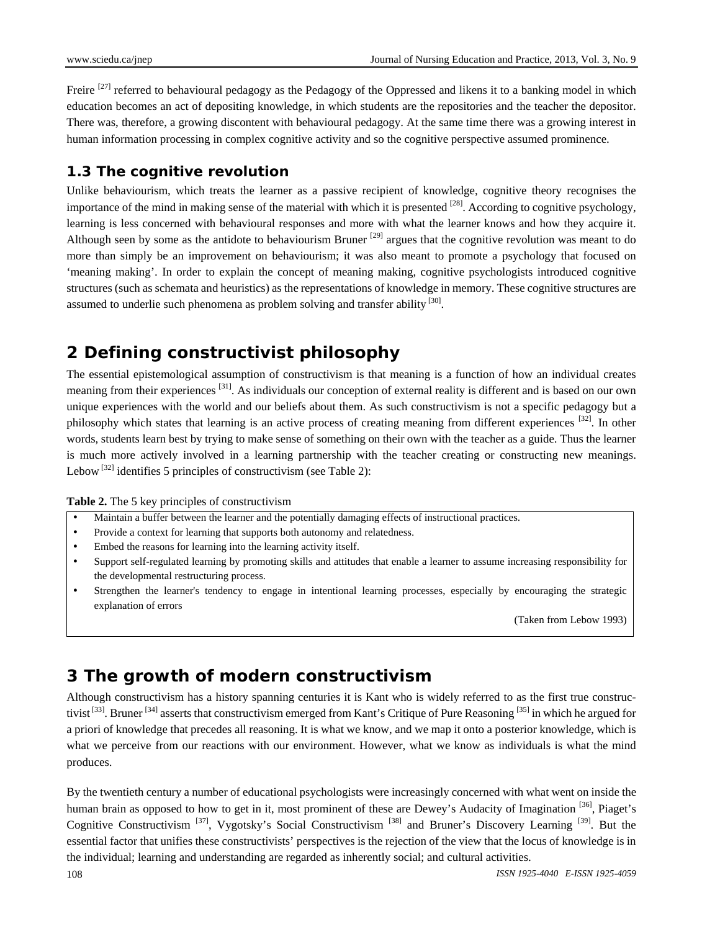Freire<sup>[27]</sup> referred to behavioural pedagogy as the Pedagogy of the Oppressed and likens it to a banking model in which education becomes an act of depositing knowledge, in which students are the repositories and the teacher the depositor. There was, therefore, a growing discontent with behavioural pedagogy. At the same time there was a growing interest in human information processing in complex cognitive activity and so the cognitive perspective assumed prominence.

### **1.3 The cognitive revolution**

Unlike behaviourism, which treats the learner as a passive recipient of knowledge, cognitive theory recognises the importance of the mind in making sense of the material with which it is presented  $^{[28]}$ . According to cognitive psychology, learning is less concerned with behavioural responses and more with what the learner knows and how they acquire it. Although seen by some as the antidote to behaviourism Bruner  $[29]$  argues that the cognitive revolution was meant to do more than simply be an improvement on behaviourism; it was also meant to promote a psychology that focused on 'meaning making'. In order to explain the concept of meaning making, cognitive psychologists introduced cognitive structures (such as schemata and heuristics) as the representations of knowledge in memory. These cognitive structures are assumed to underlie such phenomena as problem solving and transfer ability <sup>[30]</sup>.

## **2 Defining constructivist philosophy**

The essential epistemological assumption of constructivism is that meaning is a function of how an individual creates meaning from their experiences <sup>[31]</sup>. As individuals our conception of external reality is different and is based on our own unique experiences with the world and our beliefs about them. As such constructivism is not a specific pedagogy but a philosophy which states that learning is an active process of creating meaning from different experiences [32]. In other words, students learn best by trying to make sense of something on their own with the teacher as a guide. Thus the learner is much more actively involved in a learning partnership with the teacher creating or constructing new meanings. Lebow  $^{[32]}$  identifies 5 principles of constructivism (see Table 2):

#### **Table 2.** The 5 key principles of constructivism

- Maintain a buffer between the learner and the potentially damaging effects of instructional practices.
- Provide a context for learning that supports both autonomy and relatedness.
- Embed the reasons for learning into the learning activity itself.
- Support self-regulated learning by promoting skills and attitudes that enable a learner to assume increasing responsibility for the developmental restructuring process.
- Strengthen the learner's tendency to engage in intentional learning processes, especially by encouraging the strategic explanation of errors

(Taken from Lebow 1993)

### **3 The growth of modern constructivism**

Although constructivism has a history spanning centuries it is Kant who is widely referred to as the first true constructivist  $^{[33]}$ . Bruner  $^{[34]}$  asserts that constructivism emerged from Kant's Critique of Pure Reasoning  $^{[35]}$  in which he argued for a priori of knowledge that precedes all reasoning. It is what we know, and we map it onto a posterior knowledge, which is what we perceive from our reactions with our environment. However, what we know as individuals is what the mind produces.

By the twentieth century a number of educational psychologists were increasingly concerned with what went on inside the human brain as opposed to how to get in it, most prominent of these are Dewey's Audacity of Imagination [36], Piaget's Cognitive Constructivism <sup>[37]</sup>, Vygotsky's Social Constructivism <sup>[38]</sup> and Bruner's Discovery Learning <sup>[39]</sup>. But the essential factor that unifies these constructivists' perspectives is the rejection of the view that the locus of knowledge is in the individual; learning and understanding are regarded as inherently social; and cultural activities.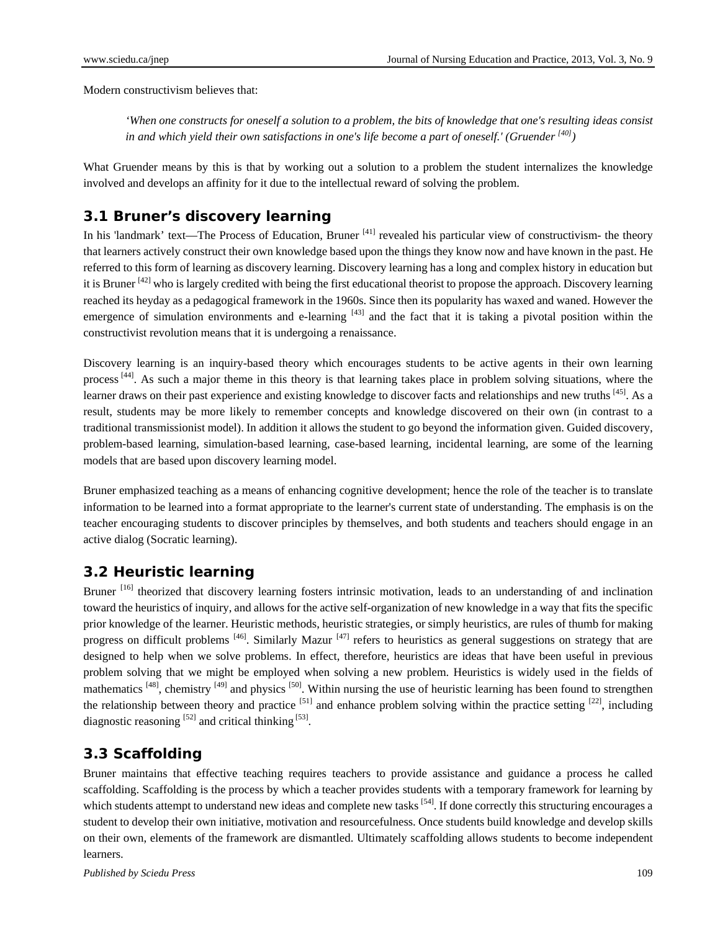Modern constructivism believes that:

*'When one constructs for oneself a solution to a problem, the bits of knowledge that one's resulting ideas consist in and which yield their own satisfactions in one's life become a part of oneself.' (Gruender [40])* 

What Gruender means by this is that by working out a solution to a problem the student internalizes the knowledge involved and develops an affinity for it due to the intellectual reward of solving the problem.

#### **3.1 Bruner's discovery learning**

In his 'landmark' text—The Process of Education, Bruner  $[41]$  revealed his particular view of constructivism- the theory that learners actively construct their own knowledge based upon the things they know now and have known in the past. He referred to this form of learning as discovery learning. Discovery learning has a long and complex history in education but it is Bruner  $[42]$  who is largely credited with being the first educational theorist to propose the approach. Discovery learning reached its heyday as a pedagogical framework in the 1960s. Since then its popularity has waxed and waned. However the emergence of simulation environments and e-learning  $[43]$  and the fact that it is taking a pivotal position within the constructivist revolution means that it is undergoing a renaissance.

Discovery learning is an inquiry-based theory which encourages students to be active agents in their own learning process <sup>[44]</sup>. As such a major theme in this theory is that learning takes place in problem solving situations, where the learner draws on their past experience and existing knowledge to discover facts and relationships and new truths [45]. As a result, students may be more likely to remember concepts and knowledge discovered on their own (in contrast to a traditional transmissionist model). In addition it allows the student to go beyond the information given. Guided discovery, problem-based learning, simulation-based learning, case-based learning, incidental learning, are some of the learning models that are based upon discovery learning model.

Bruner emphasized teaching as a means of enhancing cognitive development; hence the role of the teacher is to translate information to be learned into a format appropriate to the learner's current state of understanding. The emphasis is on the teacher encouraging students to discover principles by themselves, and both students and teachers should engage in an active dialog (Socratic learning).

#### **3.2 Heuristic learning**

Bruner [16] theorized that discovery learning fosters intrinsic motivation, leads to an understanding of and inclination toward the heuristics of inquiry, and allows for the active self-organization of new knowledge in a way that fits the specific prior knowledge of the learner. Heuristic methods, heuristic strategies, or simply heuristics, are rules of thumb for making progress on difficult problems <sup>[46]</sup>. Similarly Mazur <sup>[47]</sup> refers to heuristics as general suggestions on strategy that are designed to help when we solve problems. In effect, therefore, heuristics are ideas that have been useful in previous problem solving that we might be employed when solving a new problem. Heuristics is widely used in the fields of mathematics  $[48]$ , chemistry  $[49]$  and physics  $[50]$ . Within nursing the use of heuristic learning has been found to strengthen the relationship between theory and practice  $[51]$  and enhance problem solving within the practice setting  $[22]$ , including diagnostic reasoning  $[52]$  and critical thinking  $[53]$ .

#### **3.3 Scaffolding**

Bruner maintains that effective teaching requires teachers to provide assistance and guidance a process he called scaffolding. Scaffolding is the process by which a teacher provides students with a temporary framework for learning by which students attempt to understand new ideas and complete new tasks  $[54]$ . If done correctly this structuring encourages a student to develop their own initiative, motivation and resourcefulness. Once students build knowledge and develop skills on their own, elements of the framework are dismantled. Ultimately scaffolding allows students to become independent learners.

*Published by Sciedu Press* 109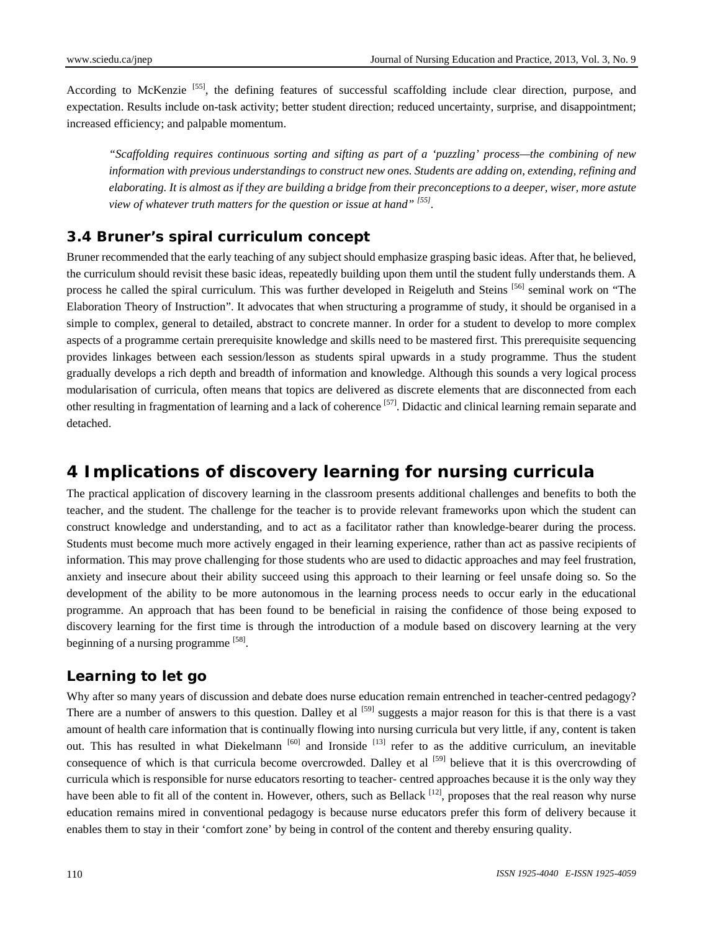According to McKenzie <sup>[55]</sup>, the defining features of successful scaffolding include clear direction, purpose, and expectation. Results include on-task activity; better student direction; reduced uncertainty, surprise, and disappointment; increased efficiency; and palpable momentum.

*"Scaffolding requires continuous sorting and sifting as part of a 'puzzling' process—the combining of new information with previous understandings to construct new ones. Students are adding on, extending, refining and elaborating. It is almost as if they are building a bridge from their preconceptions to a deeper, wiser, more astute view of whatever truth matters for the question or issue at hand" [55].* 

#### **3.4 Bruner's spiral curriculum concept**

Bruner recommended that the early teaching of any subject should emphasize grasping basic ideas. After that, he believed, the curriculum should revisit these basic ideas, repeatedly building upon them until the student fully understands them. A process he called the spiral curriculum. This was further developed in Reigeluth and Steins [56] seminal work on "The Elaboration Theory of Instruction". It advocates that when structuring a programme of study, it should be organised in a simple to complex, general to detailed, abstract to concrete manner. In order for a student to develop to more complex aspects of a programme certain prerequisite knowledge and skills need to be mastered first. This prerequisite sequencing provides linkages between each session/lesson as students spiral upwards in a study programme. Thus the student gradually develops a rich depth and breadth of information and knowledge. Although this sounds a very logical process modularisation of curricula, often means that topics are delivered as discrete elements that are disconnected from each other resulting in fragmentation of learning and a lack of coherence [57]. Didactic and clinical learning remain separate and detached.

### **4 Implications of discovery learning for nursing curricula**

The practical application of discovery learning in the classroom presents additional challenges and benefits to both the teacher, and the student. The challenge for the teacher is to provide relevant frameworks upon which the student can construct knowledge and understanding, and to act as a facilitator rather than knowledge-bearer during the process. Students must become much more actively engaged in their learning experience, rather than act as passive recipients of information. This may prove challenging for those students who are used to didactic approaches and may feel frustration, anxiety and insecure about their ability succeed using this approach to their learning or feel unsafe doing so. So the development of the ability to be more autonomous in the learning process needs to occur early in the educational programme. An approach that has been found to be beneficial in raising the confidence of those being exposed to discovery learning for the first time is through the introduction of a module based on discovery learning at the very beginning of a nursing programme  $^{[58]}$ .

#### **Learning to let go**

Why after so many years of discussion and debate does nurse education remain entrenched in teacher-centred pedagogy? There are a number of answers to this question. Dalley et al <sup>[59]</sup> suggests a major reason for this is that there is a vast amount of health care information that is continually flowing into nursing curricula but very little, if any, content is taken out. This has resulted in what Diekelmann<sup>[60]</sup> and Ironside<sup>[13]</sup> refer to as the additive curriculum, an inevitable consequence of which is that curricula become overcrowded. Dalley et al [59] believe that it is this overcrowding of curricula which is responsible for nurse educators resorting to teacher- centred approaches because it is the only way they have been able to fit all of the content in. However, others, such as Bellack <sup>[12]</sup>, proposes that the real reason why nurse education remains mired in conventional pedagogy is because nurse educators prefer this form of delivery because it enables them to stay in their 'comfort zone' by being in control of the content and thereby ensuring quality.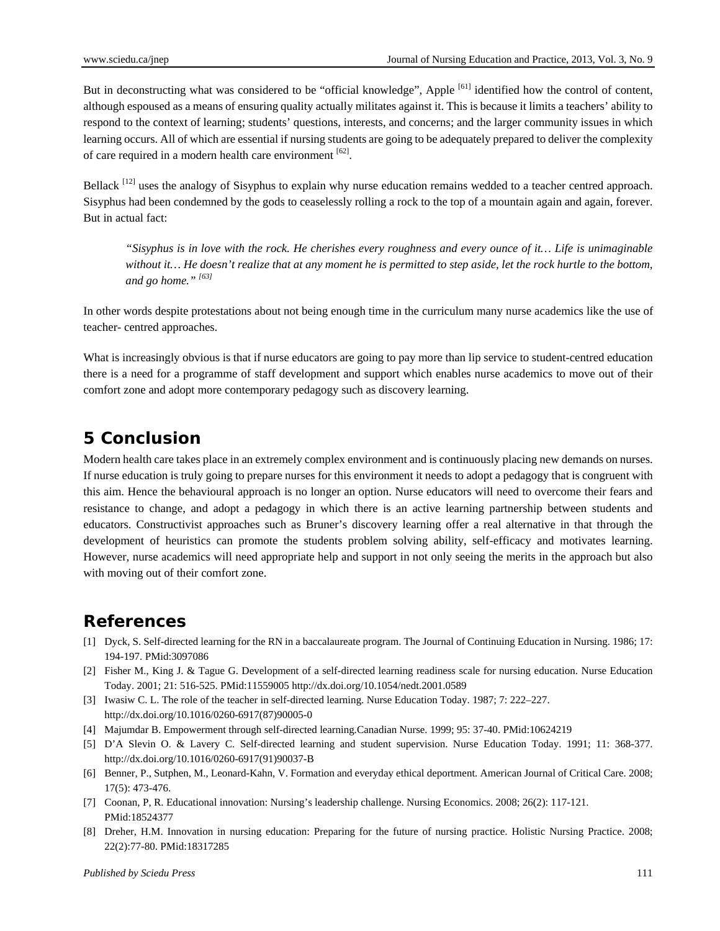But in deconstructing what was considered to be "official knowledge", Apple <sup>[61]</sup> identified how the control of content, although espoused as a means of ensuring quality actually militates against it. This is because it limits a teachers' ability to respond to the context of learning; students' questions, interests, and concerns; and the larger community issues in which learning occurs. All of which are essential if nursing students are going to be adequately prepared to deliver the complexity of care required in a modern health care environment  $[62]$ .

Bellack <sup>[12]</sup> uses the analogy of Sisyphus to explain why nurse education remains wedded to a teacher centred approach. Sisyphus had been condemned by the gods to ceaselessly rolling a rock to the top of a mountain again and again, forever. But in actual fact:

*"Sisyphus is in love with the rock. He cherishes every roughness and every ounce of it… Life is unimaginable without it… He doesn't realize that at any moment he is permitted to step aside, let the rock hurtle to the bottom, and go home." [63]*

In other words despite protestations about not being enough time in the curriculum many nurse academics like the use of teacher- centred approaches.

What is increasingly obvious is that if nurse educators are going to pay more than lip service to student-centred education there is a need for a programme of staff development and support which enables nurse academics to move out of their comfort zone and adopt more contemporary pedagogy such as discovery learning.

### **5 Conclusion**

Modern health care takes place in an extremely complex environment and is continuously placing new demands on nurses. If nurse education is truly going to prepare nurses for this environment it needs to adopt a pedagogy that is congruent with this aim. Hence the behavioural approach is no longer an option. Nurse educators will need to overcome their fears and resistance to change, and adopt a pedagogy in which there is an active learning partnership between students and educators. Constructivist approaches such as Bruner's discovery learning offer a real alternative in that through the development of heuristics can promote the students problem solving ability, self-efficacy and motivates learning. However, nurse academics will need appropriate help and support in not only seeing the merits in the approach but also with moving out of their comfort zone.

### **References**

- [1] Dyck, S. Self-directed learning for the RN in a baccalaureate program. The Journal of Continuing Education in Nursing. 1986; 17: 194-197. PMid:3097086
- [2] Fisher M., King J. & Tague G. Development of a self-directed learning readiness scale for nursing education. Nurse Education Today. 2001; 21: 516-525. PMid:11559005 http://dx.doi.org/10.1054/nedt.2001.0589
- [3] Iwasiw C. L. The role of the teacher in self-directed learning. Nurse Education Today. 1987; 7: 222–227. http://dx.doi.org/10.1016/0260-6917(87)90005-0
- [4] Majumdar B. Empowerment through self-directed learning.Canadian Nurse. 1999; 95: 37-40. PMid:10624219
- [5] D'A Slevin O. & Lavery C. Self-directed learning and student supervision. Nurse Education Today. 1991; 11: 368-377. http://dx.doi.org/10.1016/0260-6917(91)90037-B
- [6] Benner, P., Sutphen, M., Leonard-Kahn, V. Formation and everyday ethical deportment. American Journal of Critical Care. 2008; 17(5): 473-476.
- [7] Coonan, P, R. Educational innovation: Nursing's leadership challenge. Nursing Economics. 2008; 26(2): 117-121. PMid:18524377
- [8] Dreher, H.M. Innovation in nursing education: Preparing for the future of nursing practice. Holistic Nursing Practice. 2008; 22(2):77-80. PMid:18317285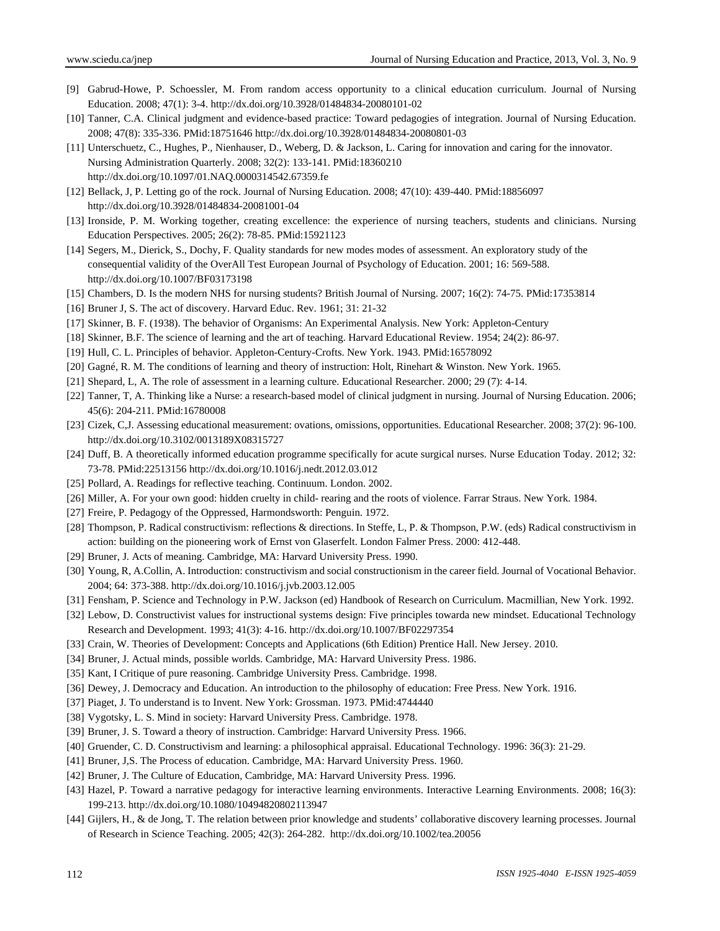- [9] Gabrud-Howe, P. Schoessler, M. From random access opportunity to a clinical education curriculum. Journal of Nursing Education. 2008; 47(1): 3-4. http://dx.doi.org/10.3928/01484834-20080101-02
- [10] Tanner, C.A. Clinical judgment and evidence-based practice: Toward pedagogies of integration. Journal of Nursing Education. 2008; 47(8): 335-336. PMid:18751646 http://dx.doi.org/10.3928/01484834-20080801-03
- [11] Unterschuetz, C., Hughes, P., Nienhauser, D., Weberg, D. & Jackson, L. Caring for innovation and caring for the innovator. Nursing Administration Quarterly. 2008; 32(2): 133-141. PMid:18360210 http://dx.doi.org/10.1097/01.NAQ.0000314542.67359.fe
- [12] Bellack, J, P. Letting go of the rock. Journal of Nursing Education. 2008; 47(10): 439-440. PMid:18856097 http://dx.doi.org/10.3928/01484834-20081001-04
- [13] Ironside, P. M. Working together, creating excellence: the experience of nursing teachers, students and clinicians. Nursing Education Perspectives. 2005; 26(2): 78-85. PMid:15921123
- [14] Segers, M., Dierick, S., Dochy, F. Quality standards for new modes modes of assessment. An exploratory study of the consequential validity of the OverAll Test European Journal of Psychology of Education. 2001; 16: 569-588. http://dx.doi.org/10.1007/BF03173198
- [15] Chambers, D. Is the modern NHS for nursing students? British Journal of Nursing. 2007; 16(2): 74-75. PMid:17353814
- [16] Bruner J, S. The act of discovery. Harvard Educ. Rev. 1961; 31: 21-32
- [17] Skinner, B. F. (1938). The behavior of Organisms: An Experimental Analysis. New York: Appleton-Century
- [18] Skinner, B.F. The science of learning and the art of teaching. Harvard Educational Review. 1954; 24(2): 86-97.
- [19] Hull, C. L. Principles of behavior. Appleton-Century-Crofts. New York. 1943. PMid:16578092
- [20] Gagné, R. M. The conditions of learning and theory of instruction: Holt, Rinehart & Winston. New York. 1965.
- [21] Shepard, L, A. The role of assessment in a learning culture. Educational Researcher. 2000; 29 (7): 4-14.
- [22] Tanner, T, A. Thinking like a Nurse: a research-based model of clinical judgment in nursing. Journal of Nursing Education. 2006; 45(6): 204-211. PMid:16780008
- [23] Cizek, C,J. Assessing educational measurement: ovations, omissions, opportunities. Educational Researcher. 2008; 37(2): 96-100. http://dx.doi.org/10.3102/0013189X08315727
- [24] Duff, B. A theoretically informed education programme specifically for acute surgical nurses. Nurse Education Today. 2012; 32: 73-78. PMid:22513156 http://dx.doi.org/10.1016/j.nedt.2012.03.012
- [25] Pollard, A. Readings for reflective teaching. Continuum. London. 2002.
- [26] Miller, A. For your own good: hidden cruelty in child- rearing and the roots of violence. Farrar Straus. New York. 1984.
- [27] Freire, P. Pedagogy of the Oppressed, Harmondsworth: Penguin. 1972.
- [28] Thompson, P. Radical constructivism: reflections & directions. In Steffe, L, P. & Thompson, P.W. (eds) Radical constructivism in action: building on the pioneering work of Ernst von Glaserfelt. London Falmer Press. 2000: 412-448.
- [29] Bruner, J. Acts of meaning. Cambridge, MA: Harvard University Press. 1990.
- [30] Young, R, A.Collin, A. Introduction: constructivism and social constructionism in the career field. Journal of Vocational Behavior. 2004; 64: 373-388. http://dx.doi.org/10.1016/j.jvb.2003.12.005
- [31] Fensham, P. Science and Technology in P.W. Jackson (ed) Handbook of Research on Curriculum. Macmillian, New York. 1992.
- [32] Lebow, D. Constructivist values for instructional systems design: Five principles towarda new mindset. Educational Technology Research and Development. 1993; 41(3): 4-16. http://dx.doi.org/10.1007/BF02297354
- [33] Crain, W. Theories of Development: Concepts and Applications (6th Edition) Prentice Hall. New Jersey. 2010.
- [34] Bruner, J. Actual minds, possible worlds. Cambridge, MA: Harvard University Press. 1986.
- [35] Kant, I Critique of pure reasoning. Cambridge University Press. Cambridge. 1998.
- [36] Dewey, J. Democracy and Education. An introduction to the philosophy of education: Free Press. New York. 1916.
- [37] Piaget, J. To understand is to Invent. New York: Grossman. 1973. PMid:4744440
- [38] Vygotsky, L. S. Mind in society: Harvard University Press. Cambridge. 1978.
- [39] Bruner, J. S. Toward a theory of instruction. Cambridge: Harvard University Press. 1966.
- [40] Gruender, C. D. Constructivism and learning: a philosophical appraisal. Educational Technology. 1996: 36(3): 21-29.
- [41] Bruner, J,S. The Process of education. Cambridge, MA: Harvard University Press. 1960.
- [42] Bruner, J. The Culture of Education, Cambridge, MA: Harvard University Press. 1996.
- [43] Hazel, P. Toward a narrative pedagogy for interactive learning environments. Interactive Learning Environments. 2008; 16(3): 199-213. http://dx.doi.org/10.1080/10494820802113947
- [44] Gijlers, H., & de Jong, T. The relation between prior knowledge and students' collaborative discovery learning processes. Journal of Research in Science Teaching. 2005; 42(3): 264-282. http://dx.doi.org/10.1002/tea.20056